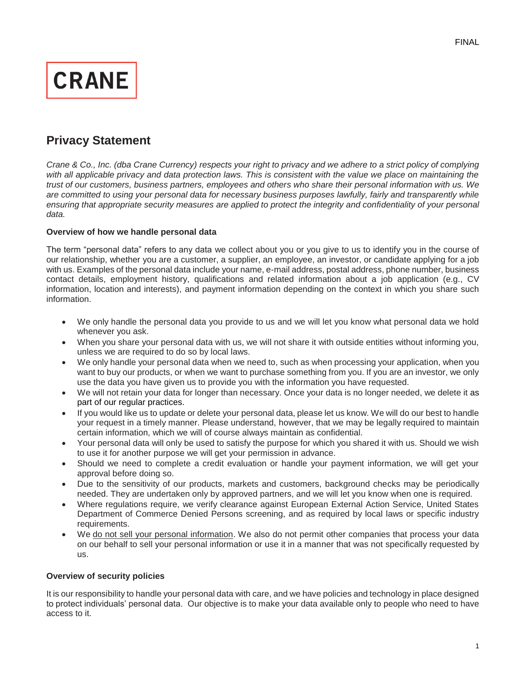

# **Privacy Statement**

*Crane & Co., Inc. (dba Crane Currency) respects your right to privacy and we adhere to a strict policy of complying*  with all applicable privacy and data protection laws. This is consistent with the value we place on maintaining the *trust of our customers, business partners, employees and others who share their personal information with us. We are committed to using your personal data for necessary business purposes lawfully, fairly and transparently while ensuring that appropriate security measures are applied to protect the integrity and confidentiality of your personal data.*

# **Overview of how we handle personal data**

The term "personal data" refers to any data we collect about you or you give to us to identify you in the course of our relationship, whether you are a customer, a supplier, an employee, an investor, or candidate applying for a job with us. Examples of the personal data include your name, e-mail address, postal address, phone number, business contact details, employment history, qualifications and related information about a job application (e.g., CV information, location and interests), and payment information depending on the context in which you share such information.

- We only handle the personal data you provide to us and we will let you know what personal data we hold whenever you ask.
- When you share your personal data with us, we will not share it with outside entities without informing you, unless we are required to do so by local laws.
- We only handle your personal data when we need to, such as when processing your application, when you want to buy our products, or when we want to purchase something from you. If you are an investor, we only use the data you have given us to provide you with the information you have requested.
- We will not retain your data for longer than necessary. Once your data is no longer needed, we delete it as part of our regular practices.
- If you would like us to update or delete your personal data, please let us know. We will do our best to handle your request in a timely manner. Please understand, however, that we may be legally required to maintain certain information, which we will of course always maintain as confidential.
- Your personal data will only be used to satisfy the purpose for which you shared it with us. Should we wish to use it for another purpose we will get your permission in advance.
- Should we need to complete a credit evaluation or handle your payment information, we will get your approval before doing so.
- Due to the sensitivity of our products, markets and customers, background checks may be periodically needed. They are undertaken only by approved partners, and we will let you know when one is required.
- Where regulations require, we verify clearance against European External Action Service, United States Department of Commerce Denied Persons screening, and as required by local laws or specific industry requirements.
- We do not sell your personal information. We also do not permit other companies that process your data on our behalf to sell your personal information or use it in a manner that was not specifically requested by us.

# **Overview of security policies**

It is our responsibility to handle your personal data with care, and we have policies and technology in place designed to protect individuals' personal data. Our objective is to make your data available only to people who need to have access to it.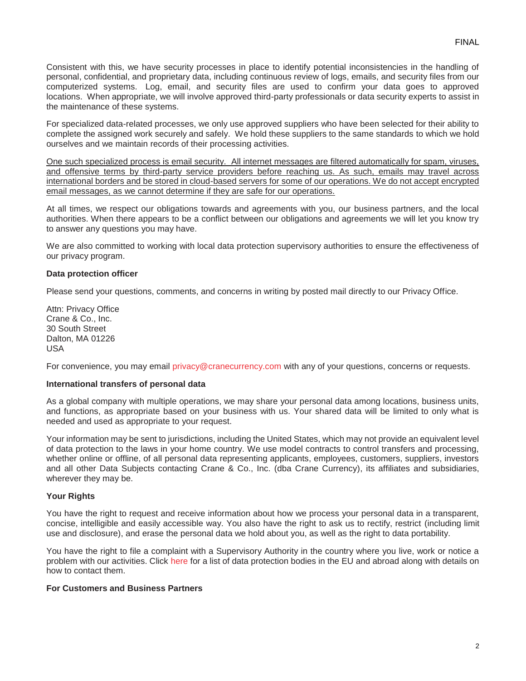Consistent with this, we have security processes in place to identify potential inconsistencies in the handling of personal, confidential, and proprietary data, including continuous review of logs, emails, and security files from our computerized systems. Log, email, and security files are used to confirm your data goes to approved locations. When appropriate, we will involve approved third-party professionals or data security experts to assist in the maintenance of these systems.

For specialized data-related processes, we only use approved suppliers who have been selected for their ability to complete the assigned work securely and safely. We hold these suppliers to the same standards to which we hold ourselves and we maintain records of their processing activities.

One such specialized process is email security. All internet messages are filtered automatically for spam, viruses, and offensive terms by third-party service providers before reaching us. As such, emails may travel across international borders and be stored in cloud-based servers for some of our operations. We do not accept encrypted email messages, as we cannot determine if they are safe for our operations.

At all times, we respect our obligations towards and agreements with you, our business partners, and the local authorities. When there appears to be a conflict between our obligations and agreements we will let you know try to answer any questions you may have.

We are also committed to working with local data protection supervisory authorities to ensure the effectiveness of our privacy program.

# **Data protection officer**

Please send your questions, comments, and concerns in writing by posted mail directly to our Privacy Office.

Attn: Privacy Office Crane & Co., Inc. 30 South Street Dalton, MA 01226 USA

For convenience, you may email privacy@cranecurrency.com with any of your questions, concerns or requests.

# **International transfers of personal data**

As a global company with multiple operations, we may share your personal data among locations, business units, and functions, as appropriate based on your business with us. Your shared data will be limited to only what is needed and used as appropriate to your request.

Your information may be sent to jurisdictions, including the United States, which may not provide an equivalent level of data protection to the laws in your home country. We use model contracts to control transfers and processing, whether online or offline, of all personal data representing applicants, employees, customers, suppliers, investors and all other Data Subjects contacting Crane & Co., Inc. (dba Crane Currency), its affiliates and subsidiaries, wherever they may be.

# **Your Rights**

You have the right to request and receive information about how we process your personal data in a transparent, concise, intelligible and easily accessible way. You also have the right to ask us to rectify, restrict (including limit use and disclosure), and erase the personal data we hold about you, as well as the right to data portability.

You have the right to file a complaint with a Supervisory Authority in the country where you live, work or notice a problem with our activities. Click [here](http://ec.europa.eu/justice/data-protection/bodies/index_en.htm) for a list of data protection bodies in the EU and abroad along with details on how to contact them.

# **For Customers and Business Partners**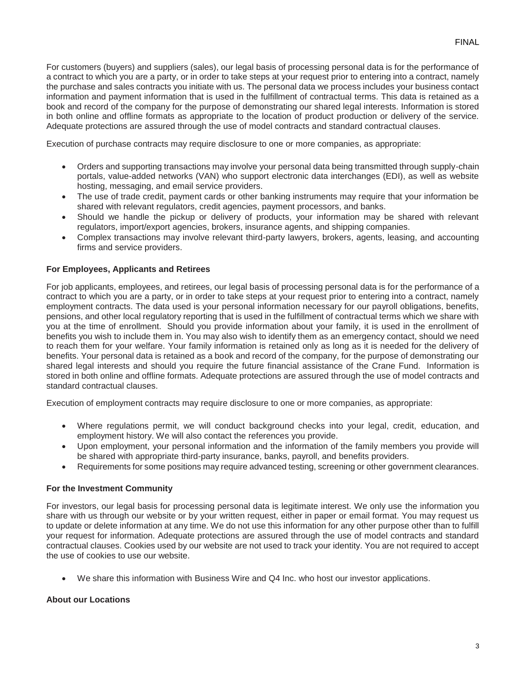For customers (buyers) and suppliers (sales), our legal basis of processing personal data is for the performance of a contract to which you are a party, or in order to take steps at your request prior to entering into a contract, namely the purchase and sales contracts you initiate with us. The personal data we process includes your business contact information and payment information that is used in the fulfillment of contractual terms. This data is retained as a book and record of the company for the purpose of demonstrating our shared legal interests. Information is stored in both online and offline formats as appropriate to the location of product production or delivery of the service. Adequate protections are assured through the use of model contracts and standard contractual clauses.

Execution of purchase contracts may require disclosure to one or more companies, as appropriate:

- Orders and supporting transactions may involve your personal data being transmitted through supply-chain portals, value-added networks (VAN) who support electronic data interchanges (EDI), as well as website hosting, messaging, and email service providers.
- The use of trade credit, payment cards or other banking instruments may require that your information be shared with relevant regulators, credit agencies, payment processors, and banks.
- Should we handle the pickup or delivery of products, your information may be shared with relevant regulators, import/export agencies, brokers, insurance agents, and shipping companies.
- Complex transactions may involve relevant third-party lawyers, brokers, agents, leasing, and accounting firms and service providers.

# **For Employees, Applicants and Retirees**

For job applicants, employees, and retirees, our legal basis of processing personal data is for the performance of a contract to which you are a party, or in order to take steps at your request prior to entering into a contract, namely employment contracts. The data used is your personal information necessary for our payroll obligations, benefits, pensions, and other local regulatory reporting that is used in the fulfillment of contractual terms which we share with you at the time of enrollment. Should you provide information about your family, it is used in the enrollment of benefits you wish to include them in. You may also wish to identify them as an emergency contact, should we need to reach them for your welfare. Your family information is retained only as long as it is needed for the delivery of benefits. Your personal data is retained as a book and record of the company, for the purpose of demonstrating our shared legal interests and should you require the future financial assistance of the Crane Fund. Information is stored in both online and offline formats. Adequate protections are assured through the use of model contracts and standard contractual clauses.

Execution of employment contracts may require disclosure to one or more companies, as appropriate:

- Where regulations permit, we will conduct background checks into your legal, credit, education, and employment history. We will also contact the references you provide.
- Upon employment, your personal information and the information of the family members you provide will be shared with appropriate third-party insurance, banks, payroll, and benefits providers.
- Requirements for some positions may require advanced testing, screening or other government clearances.

# **For the Investment Community**

For investors, our legal basis for processing personal data is legitimate interest. We only use the information you share with us through our website or by your written request, either in paper or email format. You may request us to update or delete information at any time. We do not use this information for any other purpose other than to fulfill your request for information. Adequate protections are assured through the use of model contracts and standard contractual clauses. Cookies used by our website are not used to track your identity. You are not required to accept the use of cookies to use our website.

We share this information with Business Wire and Q4 Inc. who host our investor applications.

# **About our Locations**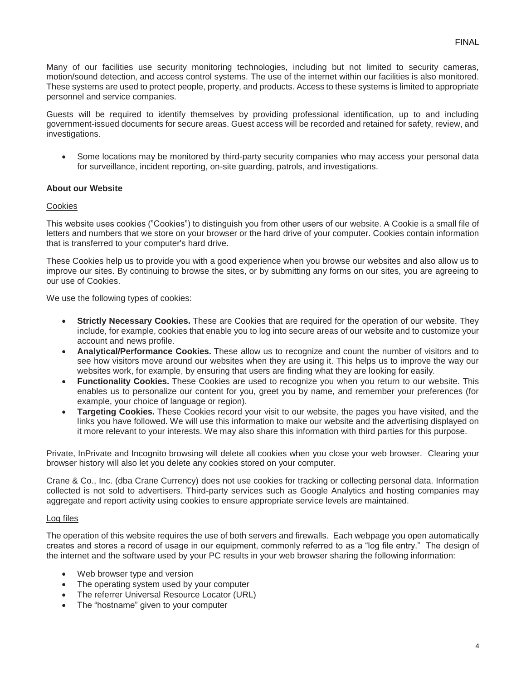Many of our facilities use security monitoring technologies, including but not limited to security cameras, motion/sound detection, and access control systems. The use of the internet within our facilities is also monitored. These systems are used to protect people, property, and products. Access to these systems is limited to appropriate personnel and service companies.

Guests will be required to identify themselves by providing professional identification, up to and including government-issued documents for secure areas. Guest access will be recorded and retained for safety, review, and investigations.

• Some locations may be monitored by third-party security companies who may access your personal data for surveillance, incident reporting, on-site guarding, patrols, and investigations.

# **About our Website**

#### Cookies

This website uses cookies ("Cookies") to distinguish you from other users of our website. A Cookie is a small file of letters and numbers that we store on your browser or the hard drive of your computer. Cookies contain information that is transferred to your computer's hard drive.

These Cookies help us to provide you with a good experience when you browse our websites and also allow us to improve our sites. By continuing to browse the sites, or by submitting any forms on our sites, you are agreeing to our use of Cookies.

We use the following types of cookies:

- **Strictly Necessary Cookies.** These are Cookies that are required for the operation of our website. They include, for example, cookies that enable you to log into secure areas of our website and to customize your account and news profile.
- **Analytical/Performance Cookies.** These allow us to recognize and count the number of visitors and to see how visitors move around our websites when they are using it. This helps us to improve the way our websites work, for example, by ensuring that users are finding what they are looking for easily.
- **Functionality Cookies.** These Cookies are used to recognize you when you return to our website. This enables us to personalize our content for you, greet you by name, and remember your preferences (for example, your choice of language or region).
- **Targeting Cookies.** These Cookies record your visit to our website, the pages you have visited, and the links you have followed. We will use this information to make our website and the advertising displayed on it more relevant to your interests. We may also share this information with third parties for this purpose.

Private, InPrivate and Incognito browsing will delete all cookies when you close your web browser. Clearing your browser history will also let you delete any cookies stored on your computer.

Crane & Co., Inc. (dba Crane Currency) does not use cookies for tracking or collecting personal data. Information collected is not sold to advertisers. Third-party services such as Google Analytics and hosting companies may aggregate and report activity using cookies to ensure appropriate service levels are maintained.

#### Log files

The operation of this website requires the use of both servers and firewalls. Each webpage you open automatically creates and stores a record of usage in our equipment, commonly referred to as a "log file entry." The design of the internet and the software used by your PC results in your web browser sharing the following information:

- Web browser type and version
- The operating system used by your computer
- The referrer Universal Resource Locator (URL)
- The "hostname" given to your computer